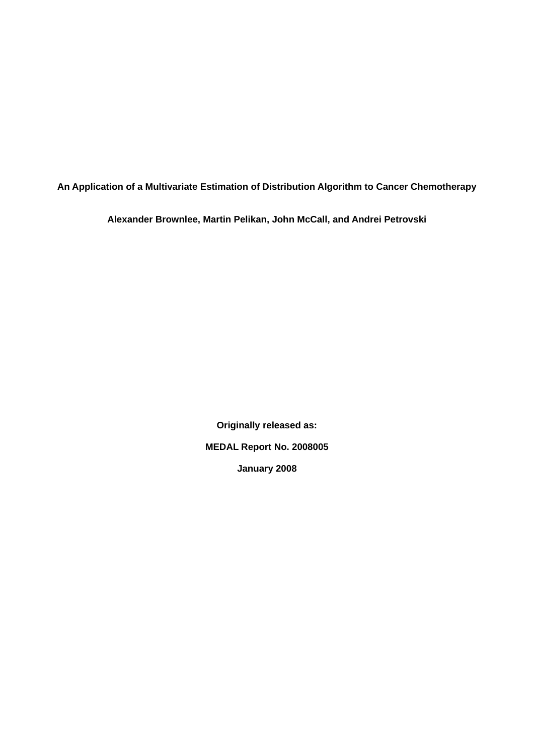**An Application of a Multivariate Estimation of Distribution Algorithm to Cancer Chemotherapy**

**Alexander Brownlee, Martin Pelikan, John McCall, and Andrei Petrovski**

**Originally released as: MEDAL Report No. 2008005 January 2008**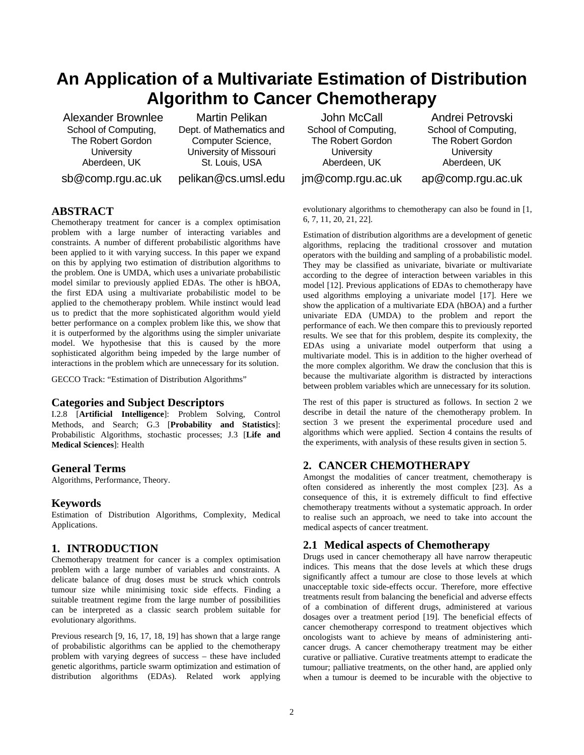# **An Application of a Multivariate Estimation of Distribution Algorithm to Cancer Chemotherapy**

 Alexander Brownlee School of Computing, The Robert Gordon **University** Aberdeen, UK sb@comp.rgu.ac.uk

Martin Pelikan Dept. of Mathematics and Computer Science, University of Missouri St. Louis, USA pelikan@cs.umsl.edu

John McCall School of Computing, The Robert Gordon **University** Aberdeen, UK jm@comp.rgu.ac.uk

Andrei Petrovski School of Computing, The Robert Gordon **University** Aberdeen, UK

ap@comp.rgu.ac.uk

# **ABSTRACT**

Chemotherapy treatment for cancer is a complex optimisation problem with a large number of interacting variables and constraints. A number of different probabilistic algorithms have been applied to it with varying success. In this paper we expand on this by applying two estimation of distribution algorithms to the problem. One is UMDA, which uses a univariate probabilistic model similar to previously applied EDAs. The other is hBOA, the first EDA using a multivariate probabilistic model to be applied to the chemotherapy problem. While instinct would lead us to predict that the more sophisticated algorithm would yield better performance on a complex problem like this, we show that it is outperformed by the algorithms using the simpler univariate model. We hypothesise that this is caused by the more sophisticated algorithm being impeded by the large number of interactions in the problem which are unnecessary for its solution.

GECCO Track: "Estimation of Distribution Algorithms"

## **Categories and Subject Descriptors**

I.2.8 [**Artificial Intelligence**]: Problem Solving, Control Methods, and Search; G.3 [**Probability and Statistics**]: Probabilistic Algorithms, stochastic processes; J.3 [**Life and Medical Sciences**]: Health

#### **General Terms**

Algorithms, Performance, Theory.

#### **Keywords**

Estimation of Distribution Algorithms, Complexity, Medical Applications.

### **1. INTRODUCTION**

Chemotherapy treatment for cancer is a complex optimisation problem with a large number of variables and constraints. A delicate balance of drug doses must be struck which controls tumour size while minimising toxic side effects. Finding a suitable treatment regime from the large number of possibilities can be interpreted as a classic search problem suitable for evolutionary algorithms.

Previous research [9, 16, 17, 18, 19] has shown that a large range of probabilistic algorithms can be applied to the chemotherapy problem with varying degrees of success – these have included genetic algorithms, particle swarm optimization and estimation of distribution algorithms (EDAs). Related work applying evolutionary algorithms to chemotherapy can also be found in [1, 6, 7, 11, 20, 21, 22].

Estimation of distribution algorithms are a development of genetic algorithms, replacing the traditional crossover and mutation operators with the building and sampling of a probabilistic model. They may be classified as univariate, bivariate or multivariate according to the degree of interaction between variables in this model [12]. Previous applications of EDAs to chemotherapy have used algorithms employing a univariate model [17]. Here we show the application of a multivariate EDA (hBOA) and a further univariate EDA (UMDA) to the problem and report the performance of each. We then compare this to previously reported results. We see that for this problem, despite its complexity, the EDAs using a univariate model outperform that using a multivariate model. This is in addition to the higher overhead of the more complex algorithm. We draw the conclusion that this is because the multivariate algorithm is distracted by interactions between problem variables which are unnecessary for its solution.

The rest of this paper is structured as follows. In section 2 we describe in detail the nature of the chemotherapy problem. In section 3 we present the experimental procedure used and algorithms which were applied. Section 4 contains the results of the experiments, with analysis of these results given in section 5.

## **2. CANCER CHEMOTHERAPY**

Amongst the modalities of cancer treatment, chemotherapy is often considered as inherently the most complex [23]. As a consequence of this, it is extremely difficult to find effective chemotherapy treatments without a systematic approach. In order to realise such an approach, we need to take into account the medical aspects of cancer treatment.

#### **2.1 Medical aspects of Chemotherapy**

Drugs used in cancer chemotherapy all have narrow therapeutic indices. This means that the dose levels at which these drugs significantly affect a tumour are close to those levels at which unacceptable toxic side-effects occur. Therefore, more effective treatments result from balancing the beneficial and adverse effects of a combination of different drugs, administered at various dosages over a treatment period [19]. The beneficial effects of cancer chemotherapy correspond to treatment objectives which oncologists want to achieve by means of administering anticancer drugs. A cancer chemotherapy treatment may be either curative or palliative. Curative treatments attempt to eradicate the tumour; palliative treatments, on the other hand, are applied only when a tumour is deemed to be incurable with the objective to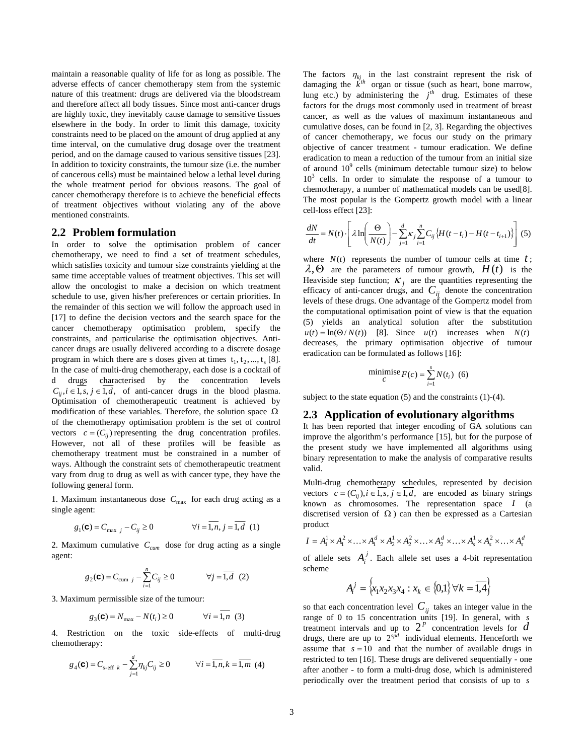maintain a reasonable quality of life for as long as possible. The adverse effects of cancer chemotherapy stem from the systemic nature of this treatment: drugs are delivered via the bloodstream and therefore affect all body tissues. Since most anti-cancer drugs are highly toxic, they inevitably cause damage to sensitive tissues elsewhere in the body. In order to limit this damage, toxicity constraints need to be placed on the amount of drug applied at any time interval, on the cumulative drug dosage over the treatment period, and on the damage caused to various sensitive tissues [23]. In addition to toxicity constraints, the tumour size (i.e. the number of cancerous cells) must be maintained below a lethal level during the whole treatment period for obvious reasons. The goal of cancer chemotherapy therefore is to achieve the beneficial effects of treatment objectives without violating any of the above mentioned constraints.

#### **2.2 Problem formulation**

In order to solve the optimisation problem of cancer chemotherapy, we need to find a set of treatment schedules, which satisfies toxicity and tumour size constraints yielding at the same time acceptable values of treatment objectives. This set will allow the oncologist to make a decision on which treatment schedule to use, given his/her preferences or certain priorities. In the remainder of this section we will follow the approach used in [17] to define the decision vectors and the search space for the cancer chemotherapy optimisation problem, specify the constraints, and particularise the optimisation objectives. Anticancer drugs are usually delivered according to a discrete dosage program in which there are s doses given at times  $t_1, t_2, ..., t_s$  [8]. In the case of multi-drug chemotherapy, each dose is a cocktail of d drugs characterised by the concentration levels  $C_{ii}$ , *i* ∈ 1, *s*, *j* ∈ 1, *d*, of anti-cancer drugs in the blood plasma. Optimisation of chemotherapeutic treatment is achieved by modification of these variables. Therefore, the solution space  $\Omega$ of the chemotherapy optimisation problem is the set of control vectors  $c = (C_{ij})$  representing the drug concentration profiles. However, not all of these profiles will be feasible as chemotherapy treatment must be constrained in a number of ways. Although the constraint sets of chemotherapeutic treatment vary from drug to drug as well as with cancer type, they have the following general form.

1. Maximum instantaneous dose  $C_{\text{max}}$  for each drug acting as a single agent:

$$
g_1(\mathbf{C}) = C_{\text{max }j} - C_{ij} \ge 0 \qquad \forall i = \overline{1, n}, j = \overline{1, d} \quad (1)
$$

2. Maximum cumulative  $C_{cum}$  dose for drug acting as a single agent:

$$
g_2(\mathbf{C}) = C_{\text{cum }j} - \sum_{i=1}^n C_{ij} \ge 0 \qquad \forall j = \overline{1, d} \tag{2}
$$

3. Maximum permissible size of the tumour:

$$
g_3(\mathbf{C}) = N_{\text{max}} - N(t_i) \ge 0
$$
  $\forall i = 1, n$  (3)

4. Restriction on the toxic side-effects of multi-drug chemotherapy:

$$
g_4(\mathbf{C}) = C_{\text{s-eff }k} - \sum_{j=1}^d \eta_{kj} C_{ij} \ge 0
$$
  $\forall i = \overline{1, n}, k = \overline{1, m} \tag{4}$ 

The factors  $\eta_{kj}$  in the last constraint represent the risk of damaging the  $\vec{k}^{th}$  organ or tissue (such as heart, bone marrow, lung etc.) by administering the  $j<sup>th</sup>$  drug. Estimates of these factors for the drugs most commonly used in treatment of breast cancer, as well as the values of maximum instantaneous and cumulative doses, can be found in [2, 3]. Regarding the objectives of cancer chemotherapy, we focus our study on the primary objective of cancer treatment - tumour eradication. We define eradication to mean a reduction of the tumour from an initial size of around  $10^9$  cells (minimum detectable tumour size) to below 10<sup>3</sup> cells. In order to simulate the response of a tumour to chemotherapy, a number of mathematical models can be used[8]. The most popular is the Gompertz growth model with a linear cell-loss effect [23]:

$$
\frac{dN}{dt} = N(t) \cdot \left[ \lambda \ln \left( \frac{\Theta}{N(t)} \right) - \sum_{j=1}^{d} \kappa_j \sum_{i=1}^{n} C_{ij} \left\{ H(t - t_i) - H(t - t_{i+1}) \right\} \right] (5)
$$

where  $N(t)$  represents the number of tumour cells at time  $t$ ;  $\lambda, \Theta$  are the parameters of tumour growth,  $H(t)$  is the Heaviside step function;  $\kappa_j$  are the quantities representing the efficacy of anti-cancer drugs, and  $C_{ij}$  denote the concentration levels of these drugs. One advantage of the Gompertz model from the computational optimisation point of view is that the equation (5) yields an analytical solution after the substitution  $u(t) = \ln(\Theta/N(t))$  [8]. Since  $u(t)$  increases when  $N(t)$ decreases, the primary optimisation objective of tumour eradication can be formulated as follows [16]:

$$
\text{minimize}_{C} F(c) = \sum_{i=1}^{s} N(t_i) \tag{6}
$$

subject to the state equation (5) and the constraints (1)-(4).

### **2.3 Application of evolutionary algorithms**

It has been reported that integer encoding of GA solutions can improve the algorithm's performance [15], but for the purpose of the present study we have implemented all algorithms using binary representation to make the analysis of comparative results valid.

Multi-drug chemotherapy schedules, represented by decision vectors  $c = (C_{ii}), i \in I, s, j \in I, d$ , are encoded as binary strings known as chromosomes. The representation space *I* (a discretised version of  $\Omega$ ) can then be expressed as a Cartesian product

$$
I = A_1^1 \times A_1^2 \times \ldots \times A_1^d \times A_2^1 \times A_2^2 \times \ldots \times A_2^d \times \ldots \times A_s^1 \times A_s^2 \times \ldots \times A_s^d
$$

of allele sets  $A_i^j$ . Each allele set uses a 4-bit representation scheme

$$
A_i^j = \{x_1x_2x_3x_4 : x_k \in \{0,1\} \,\forall k = \overline{1,4}\}
$$

so that each concentration level  $C_{ij}$  takes an integer value in the range of 0 to 15 concentration units [19]. In general, with *s* treatment intervals and up to  $2^p$  concentration levels for  $d$ drugs, there are up to  $2^{spd}$  individual elements. Henceforth we assume that  $s = 10$  and that the number of available drugs in restricted to ten [16]. These drugs are delivered sequentially - one after another - to form a multi-drug dose, which is administered periodically over the treatment period that consists of up to *s*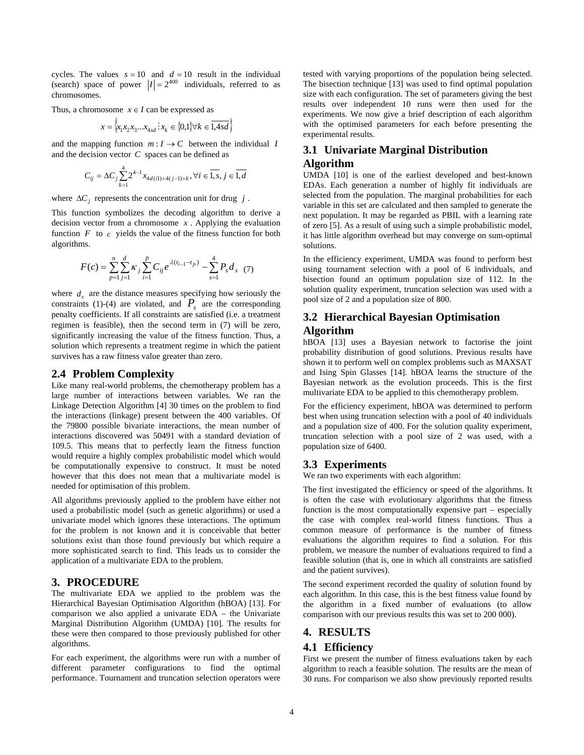cycles. The values  $s = 10$  and  $d = 10$  result in the individual (search) space of power  $|I| = 2^{400}$  individuals, referred to as chromosomes.

Thus, a chromosome  $x \in I$  can be expressed as

$$
x = \{x_1 x_2 x_3 ... x_{4sd} : x_k \in \{0,1\} \forall k \in \overline{1,4sd} \}
$$

and the mapping function  $m: I \to C$  between the individual *I* and the decision vector *C* spaces can be defined as

$$
C_{ij} = \Delta C_j \sum_{k=1}^{4} 2^{4-1} x_{4d(i1)+4(j-1)+k}, \forall i \in \overline{1, s}, j \in \overline{1, d}
$$

where  $\Delta C_i$  represents the concentration unit for drug  $j$ .

This function symbolizes the decoding algorithm to derive a decision vector from a chromosome *x* . Applying the evaluation function  $F$  to  $c$  yields the value of the fitness function for both algorithms.

$$
F(c) = \sum_{p=1}^{n} \sum_{j=1}^{d} \kappa_j \sum_{i=1}^{p} C_{ij} e^{\lambda(t_{i-1} - t_p)} - \sum_{s=1}^{4} P_s d_s
$$
 (7)

where  $d_s$  are the distance measures specifying how seriously the constraints (1)-(4) are violated, and  $P_s$  are the corresponding penalty coefficients. If all constraints are satisfied (i.e. a treatment regimen is feasible), then the second term in (7) will be zero, significantly increasing the value of the fitness function. Thus, a solution which represents a treatment regime in which the patient survives has a raw fitness value greater than zero.

#### <span id="page-3-0"></span>**2.4 Problem Complexity**

Like many real-world problems, the chemotherapy problem has a large number of interactions between variables. We ran the Linkage Detection Algorithm [4] 30 times on the problem to find the interactions (linkage) present between the 400 variables. Of the 79800 possible bivariate interactions, the mean number of interactions discovered was 50491 with a standard deviation of 109.5. This means that to perfectly learn the fitness function would require a highly complex probabilistic model which would be computationally expensive to construct. It must be noted however that this does not mean that a multivariate model is needed for optimisation of this problem.

All algorithms previously applied to the problem have either not used a probabilistic model (such as genetic algorithms) or used a univariate model which ignores these interactions. The optimum for the problem is not known and it is conceivable that better solutions exist than those found previously but which require a more sophisticated search to find. This leads us to consider the application of a multivariate EDA to the problem.

#### **3. PROCEDURE**

The multivariate EDA we applied to the problem was the Hierarchical Bayesian Optimisation Algorithm (hBOA) [13]. For comparison we also applied a univarate EDA – the Univariate Marginal Distribution Algorithm (UMDA) [10]. The results for these were then compared to those previously published for other algorithms.

For each experiment, the algorithms were run with a number of different parameter configurations to find the optimal performance. Tournament and truncation selection operators were

tested with varying proportions of the population being selected. The bisection technique [13] was used to find optimal population size with each configuration. The set of parameters giving the best results over independent 10 runs were then used for the experiments. We now give a brief description of each algorithm with the optimised parameters for each before presenting the experimental results.

## **3.1 Univariate Marginal Distribution Algorithm**

UMDA [10] is one of the earliest developed and best-known EDAs. Each generation a number of highly fit individuals are selected from the population. The marginal probabilities for each variable in this set are calculated and then sampled to generate the next population. It may be regarded as PBIL with a learning rate of zero [5]. As a result of using such a simple probabilistic model, it has little algorithm overhead but may converge on sum-optimal solutions.

In the efficiency experiment, UMDA was found to perform best using tournament selection with a pool of 6 individuals, and bisection found an optimum population size of 112. In the solution quality experiment, truncation selection was used with a pool size of 2 and a population size of 800.

## **3.2 Hierarchical Bayesian Optimisation Algorithm**

hBOA [13] uses a Bayesian network to factorise the joint probability distribution of good solutions. Previous results have shown it to perform well on complex problems such as MAXSAT and Ising Spin Glasses [14]. hBOA learns the structure of the Bayesian network as the evolution proceeds. This is the first multivariate EDA to be applied to this chemotherapy problem.

For the efficiency experiment, hBOA was determined to perform best when using truncation selection with a pool of 40 individuals and a population size of 400. For the solution quality experiment, truncation selection with a pool size of 2 was used, with a population size of 6400.

#### **3.3 Experiments**

We ran two experiments with each algorithm:

The first investigated the efficiency or speed of the algorithms. It is often the case with evolutionary algorithms that the fitness function is the most computationally expensive part – especially the case with complex real-world fitness functions. Thus a common measure of performance is the number of fitness evaluations the algorithm requires to find a solution. For this problem, we measure the number of evaluations required to find a feasible solution (that is, one in which all constraints are satisfied and the patient survives).

The second experiment recorded the quality of solution found by each algorithm. In this case, this is the best fitness value found by the algorithm in a fixed number of evaluations (to allow comparison with our previous results this was set to 200 000).

# **4. RESULTS**

#### **4.1 Efficiency**

First we present the number of fitness evaluations taken by each algorithm to reach a feasible solution. The results are the mean of 30 runs. For comparison we also show previously reported results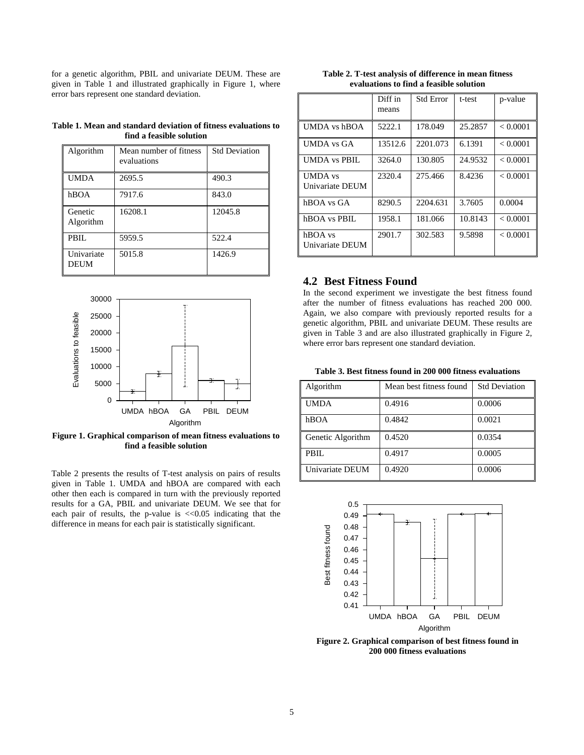for a genetic algorithm, PBIL and univariate DEUM. These are given in [Table 1](#page-4-0) and illustrated graphically in [Figure 1,](#page-4-1) where error bars represent one standard deviation.

<span id="page-4-0"></span>

| Table 1. Mean and standard deviation of fitness evaluations to |  |  |  |  |  |  |
|----------------------------------------------------------------|--|--|--|--|--|--|
| find a feasible solution                                       |  |  |  |  |  |  |

| Algorithm                 | Mean number of fitness<br>evaluations | <b>Std Deviation</b> |
|---------------------------|---------------------------------------|----------------------|
| <b>UMDA</b>               | 2695.5                                | 490.3                |
| hBOA                      | 7917.6                                | 843.0                |
| Genetic<br>Algorithm      | 16208.1                               | 12045.8              |
| PBIL                      | 5959.5                                | 522.4                |
| Univariate<br><b>DEUM</b> | 5015.8                                | 1426.9               |



<span id="page-4-2"></span><span id="page-4-1"></span>**Figure 1. Graphical comparison of mean fitness evaluations to find a feasible solution** 

<span id="page-4-3"></span>Table 2 presents the results of T-test analysis on pairs of results given in [Table 1.](#page-4-0) UMDA and hBOA are compared with each other then each is compared in turn with the previously reported results for a GA, PBIL and univariate DEUM. We see that for each pair of results, the p-value is  $\ll 0.05$  indicating that the difference in means for each pair is statistically significant.

| Table 2. T-test analysis of difference in mean fitness |
|--------------------------------------------------------|
| evaluations to find a feasible solution                |

|                                   | Diff in<br>means | <b>Std Error</b> | t-test  | p-value  |
|-----------------------------------|------------------|------------------|---------|----------|
| <b>UMDA</b> vs hBOA               | 5222.1           | 178.049          | 25.2857 | < 0.0001 |
| <b>UMDA</b> vs GA                 | 13512.6          | 2201.073         | 6.1391  | < 0.0001 |
| <b>UMDA</b> vs PBIL               | 3264.0           | 130.805          | 24.9532 | < 0.0001 |
| <b>UMDA</b> vs<br>Univariate DEUM | 2320.4           | 275.466          | 8.4236  | < 0.0001 |
| hBOA vs GA                        | 8290.5           | 2204.631         | 3.7605  | 0.0004   |
| hBOA vs PBIL                      | 1958.1           | 181.066          | 10.8143 | < 0.0001 |
| hBOA vs<br>Univariate DEUM        | 2901.7           | 302.583          | 9.5898  | < 0.0001 |

#### **4.2 Best Fitness Found**

In the second experiment we investigate the best fitness found after the number of fitness evaluations has reached 200 000. Again, we also compare with previously reported results for a genetic algorithm, PBIL and univariate DEUM. These results are given in [Table 3](#page-4-2) and are also illustrated graphically in [Figure 2,](#page-4-3) where error bars represent one standard deviation.

**Table 3. Best fitness found in 200 000 fitness evaluations** 

| Algorithm         | Mean best fitness found | <b>Std Deviation</b> |
|-------------------|-------------------------|----------------------|
| <b>UMDA</b>       | 0.4916                  | 0.0006               |
| hBOA              | 0.4842                  | 0.0021               |
| Genetic Algorithm | 0.4520                  | 0.0354               |
| PBIL              | 0.4917                  | 0.0005               |
| Univariate DEUM   | 0.4920                  | 0.0006               |



**Figure 2. Graphical comparison of best fitness found in 200 000 fitness evaluations**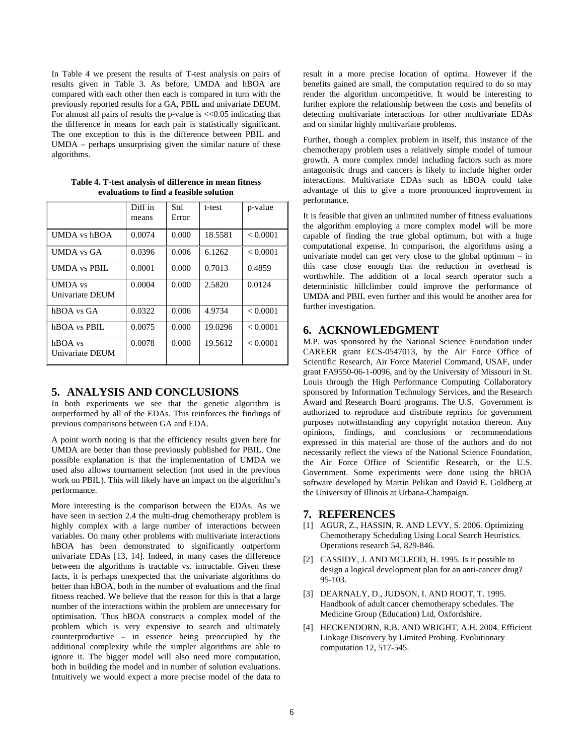In [Table 4](#page-5-0) we present the results of T-test analysis on pairs of results given in [Table 3.](#page-4-2) As before, UMDA and hBOA are compared with each other then each is compared in turn with the previously reported results for a GA, PBIL and univariate DEUM. For almost all pairs of results the p-value is <<0.05 indicating that the difference in means for each pair is statistically significant. The one exception to this is the difference between PBIL and UMDA – perhaps unsurprising given the similar nature of these algorithms.

<span id="page-5-0"></span>

|                                   | Diff in<br>means | Std<br>Error | t-test  | p-value  |
|-----------------------------------|------------------|--------------|---------|----------|
| <b>UMDA</b> vs hBOA               | 0.0074           | 0.000        | 18.5581 | < 0.0001 |
| <b>UMDA</b> vs GA                 | 0.0396           | 0.006        | 6.1262  | < 0.0001 |
| <b>UMDA</b> vs PBIL               | 0.0001           | 0.000        | 0.7013  | 0.4859   |
| <b>UMDA</b> vs<br>Univariate DEUM | 0.0004           | 0.000        | 2.5820  | 0.0124   |
| hBOA vs GA                        | 0.0322           | 0.006        | 4.9734  | < 0.0001 |
| hBOA vs PBIL                      | 0.0075           | 0.000        | 19.0296 | < 0.0001 |
| hBOA vs<br>Univariate DEUM        | 0.0078           | 0.000        | 19.5612 | < 0.0001 |

**Table 4. T-test analysis of difference in mean fitness evaluations to find a feasible solution** 

## **5. ANALYSIS AND CONCLUSIONS**

In both experiments we see that the genetic algorithm is outperformed by all of the EDAs. This reinforces the findings of previous comparisons between GA and EDA.

A point worth noting is that the efficiency results given here for UMDA are better than those previously published for PBIL. One possible explanation is that the implementation of UMDA we used also allows tournament selection (not used in the previous work on PBIL). This will likely have an impact on the algorithm's performance.

More interesting is the comparison between the EDAs. As we have seen in section [2.4](#page-3-0) the multi-drug chemotherapy problem is highly complex with a large number of interactions between variables. On many other problems with multivariate interactions hBOA has been demonstrated to significantly outperform univariate EDAs [13, 14]. Indeed, in many cases the difference between the algorithms is tractable vs. intractable. Given these facts, it is perhaps unexpected that the univariate algorithms do better than hBOA, both in the number of evaluations and the final fitness reached. We believe that the reason for this is that a large number of the interactions within the problem are unnecessary for optimisation. Thus hBOA constructs a complex model of the problem which is very expensive to search and ultimately counterproductive – in essence being preoccupied by the additional complexity while the simpler algorithms are able to ignore it. The bigger model will also need more computation, both in building the model and in number of solution evaluations. Intuitively we would expect a more precise model of the data to

result in a more precise location of optima. However if the benefits gained are small, the computation required to do so may render the algorithm uncompetitive. It would be interesting to further explore the relationship between the costs and benefits of detecting multivariate interactions for other multivariate EDAs and on similar highly multivariate problems.

Further, though a complex problem in itself, this instance of the chemotherapy problem uses a relatively simple model of tumour growth. A more complex model including factors such as more antagonistic drugs and cancers is likely to include higher order interactions. Multivariate EDAs such as hBOA could take advantage of this to give a more pronounced improvement in performance.

It is feasible that given an unlimited number of fitness evaluations the algorithm employing a more complex model will be more capable of finding the true global optimum, but with a huge computational expense. In comparison, the algorithms using a univariate model can get very close to the global optimum – in this case close enough that the reduction in overhead is worthwhile. The addition of a local search operator such a deterministic hillclimber could improve the performance of UMDA and PBIL even further and this would be another area for further investigation.

# **6. ACKNOWLEDGMENT**

M.P. was sponsored by the National Science Foundation under CAREER grant ECS-0547013, by the Air Force Office of Scientific Research, Air Force Materiel Command, USAF, under grant FA9550-06-1-0096, and by the University of Missouri in St. Louis through the High Performance Computing Collaboratory sponsored by Information Technology Services, and the Research Award and Research Board programs. The U.S. Government is authorized to reproduce and distribute reprints for government purposes notwithstanding any copyright notation thereon. Any opinions, findings, and conclusions or recommendations expressed in this material are those of the authors and do not necessarily reflect the views of the National Science Foundation, the Air Force Office of Scientific Research, or the U.S. Government. Some experiments were done using the hBOA software developed by Martin Pelikan and David E. Goldberg at the University of Illinois at Urbana-Champaign.

# **7. REFERENCES**

- [1] AGUR, Z., HASSIN, R. AND LEVY, S. 2006. Optimizing Chemotherapy Scheduling Using Local Search Heuristics. Operations research 54, 829-846.
- [2] CASSIDY, J. AND MCLEOD, H. 1995. Is it possible to design a logical development plan for an anti-cancer drug? 95-103.
- [3] DEARNALY, D., JUDSON, I. AND ROOT, T. 1995. Handbook of adult cancer chemotherapy schedules. The Medicine Group (Education) Ltd, Oxfordshire.
- [4] HECKENDORN, R.B. AND WRIGHT, A.H. 2004. Efficient Linkage Discovery by Limited Probing. Evolutionary computation 12, 517-545.